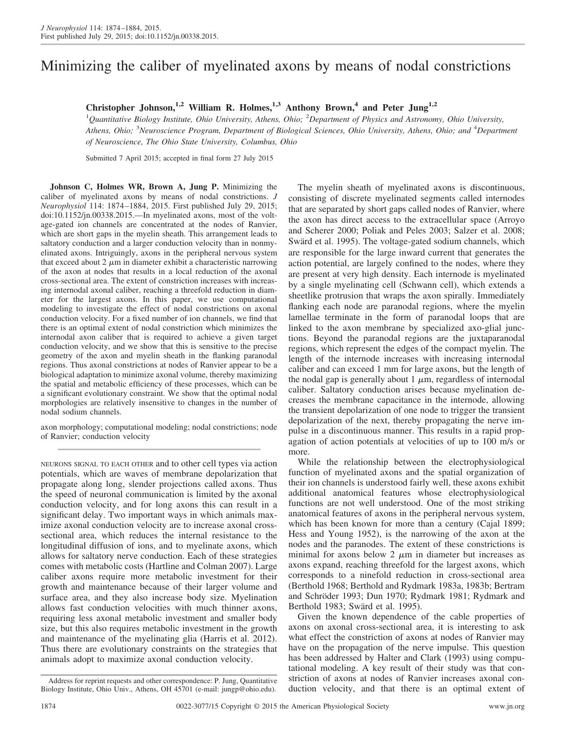# Minimizing the caliber of myelinated axons by means of nodal constrictions

**Christopher Johnson,1,2 William R. Holmes,1,3 Anthony Brown,<sup>4</sup> and Peter Jung1,2**

1 *Quantitative Biology Institute, Ohio University, Athens, Ohio;* <sup>2</sup> *Department of Physics and Astronomy, Ohio University, Athens, Ohio;* <sup>3</sup> *Neuroscience Program, Department of Biological Sciences, Ohio University, Athens, Ohio; and* <sup>4</sup> *Department of Neuroscience, The Ohio State University, Columbus, Ohio*

Submitted 7 April 2015; accepted in final form 27 July 2015

**Johnson C, Holmes WR, Brown A, Jung P.** Minimizing the caliber of myelinated axons by means of nodal constrictions. *J Neurophysiol* 114: 1874 –1884, 2015. First published July 29, 2015; doi:10.1152/jn.00338.2015.—In myelinated axons, most of the voltage-gated ion channels are concentrated at the nodes of Ranvier, which are short gaps in the myelin sheath. This arrangement leads to saltatory conduction and a larger conduction velocity than in nonmyelinated axons. Intriguingly, axons in the peripheral nervous system that exceed about 2  $\mu$ m in diameter exhibit a characteristic narrowing of the axon at nodes that results in a local reduction of the axonal cross-sectional area. The extent of constriction increases with increasing internodal axonal caliber, reaching a threefold reduction in diameter for the largest axons. In this paper, we use computational modeling to investigate the effect of nodal constrictions on axonal conduction velocity. For a fixed number of ion channels, we find that there is an optimal extent of nodal constriction which minimizes the internodal axon caliber that is required to achieve a given target conduction velocity, and we show that this is sensitive to the precise geometry of the axon and myelin sheath in the flanking paranodal regions. Thus axonal constrictions at nodes of Ranvier appear to be a biological adaptation to minimize axonal volume, thereby maximizing the spatial and metabolic efficiency of these processes, which can be a significant evolutionary constraint. We show that the optimal nodal morphologies are relatively insensitive to changes in the number of nodal sodium channels.

axon morphology; computational modeling; nodal constrictions; node of Ranvier; conduction velocity

NEURONS SIGNAL TO EACH OTHER and to other cell types via action potentials, which are waves of membrane depolarization that propagate along long, slender projections called axons. Thus the speed of neuronal communication is limited by the axonal conduction velocity, and for long axons this can result in a significant delay. Two important ways in which animals maximize axonal conduction velocity are to increase axonal crosssectional area, which reduces the internal resistance to the longitudinal diffusion of ions, and to myelinate axons, which allows for saltatory nerve conduction. Each of these strategies comes with metabolic costs (Hartline and Colman 2007). Large caliber axons require more metabolic investment for their growth and maintenance because of their larger volume and surface area, and they also increase body size. Myelination allows fast conduction velocities with much thinner axons, requiring less axonal metabolic investment and smaller body size, but this also requires metabolic investment in the growth and maintenance of the myelinating glia (Harris et al. 2012). Thus there are evolutionary constraints on the strategies that animals adopt to maximize axonal conduction velocity.

The myelin sheath of myelinated axons is discontinuous, consisting of discrete myelinated segments called internodes that are separated by short gaps called nodes of Ranvier, where the axon has direct access to the extracellular space (Arroyo and Scherer 2000; Poliak and Peles 2003; Salzer et al. 2008; Swärd et al. 1995). The voltage-gated sodium channels, which are responsible for the large inward current that generates the action potential, are largely confined to the nodes, where they are present at very high density. Each internode is myelinated by a single myelinating cell (Schwann cell), which extends a sheetlike protrusion that wraps the axon spirally. Immediately flanking each node are paranodal regions, where the myelin lamellae terminate in the form of paranodal loops that are linked to the axon membrane by specialized axo-glial junctions. Beyond the paranodal regions are the juxtaparanodal regions, which represent the edges of the compact myelin. The length of the internode increases with increasing internodal caliber and can exceed 1 mm for large axons, but the length of the nodal gap is generally about  $1 \mu m$ , regardless of internodal caliber. Saltatory conduction arises because myelination decreases the membrane capacitance in the internode, allowing the transient depolarization of one node to trigger the transient depolarization of the next, thereby propagating the nerve impulse in a discontinuous manner. This results in a rapid propagation of action potentials at velocities of up to 100 m/s or more.

While the relationship between the electrophysiological function of myelinated axons and the spatial organization of their ion channels is understood fairly well, these axons exhibit additional anatomical features whose electrophysiological functions are not well understood. One of the most striking anatomical features of axons in the peripheral nervous system, which has been known for more than a century (Cajal 1899; Hess and Young 1952), is the narrowing of the axon at the nodes and the paranodes. The extent of these constrictions is minimal for axons below  $2 \mu m$  in diameter but increases as axons expand, reaching threefold for the largest axons, which corresponds to a ninefold reduction in cross-sectional area (Berthold 1968; Berthold and Rydmark 1983a, 1983b; Bertram and Schröder 1993; Dun 1970; Rydmark 1981; Rydmark and Berthold 1983; Swärd et al. 1995).

Given the known dependence of the cable properties of axons on axonal cross-sectional area, it is interesting to ask what effect the constriction of axons at nodes of Ranvier may have on the propagation of the nerve impulse. This question has been addressed by Halter and Clark (1993) using computational modeling. A key result of their study was that constriction of axons at nodes of Ranvier increases axonal conduction velocity, and that there is an optimal extent of

Address for reprint requests and other correspondence: P. Jung, Quantitative Biology Institute, Ohio Univ., Athens, OH 45701 (e-mail: [jungp@ohio.edu\)](mailto:jungp@ohio.edu).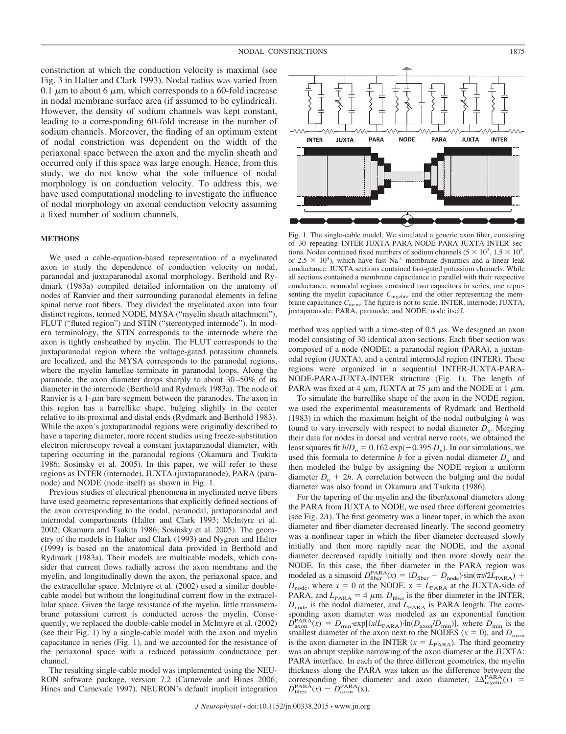constriction at which the conduction velocity is maximal (see Fig. 3 in Halter and Clark 1993). Nodal radius was varied from 0.1  $\mu$ m to about 6  $\mu$ m, which corresponds to a 60-fold increase in nodal membrane surface area (if assumed to be cylindrical). However, the density of sodium channels was kept constant, leading to a corresponding 60-fold increase in the number of sodium channels. Moreover, the finding of an optimum extent of nodal constriction was dependent on the width of the periaxonal space between the axon and the myelin sheath and occurred only if this space was large enough. Hence, from this study, we do not know what the sole influence of nodal morphology is on conduction velocity. To address this, we have used computational modeling to investigate the influence of nodal morphology on axonal conduction velocity assuming a fixed number of sodium channels.

### **METHODS**

We used a cable-equation-based representation of a myelinated axon to study the dependence of conduction velocity on nodal, paranodal and juxtaparanodal axonal morphology. Berthold and Rydmark (1983a) compiled detailed information on the anatomy of nodes of Ranvier and their surrounding paranodal elements in feline spinal nerve root fibers. They divided the myelinated axon into four distinct regions, termed NODE, MYSA ("myelin sheath attachment"), FLUT ("fluted region") and STIN ("stereotyped internode"). In modern terminology, the STIN corresponds to the internode where the axon is tightly ensheathed by myelin. The FLUT corresponds to the juxtaparanodal region where the voltage-gated potassium channels are localized, and the MYSA corresponds to the paranodal regions, where the myelin lamellae terminate in paranodal loops. Along the paranode, the axon diameter drops sharply to about 30 –50% of its diameter in the internode (Berthold and Rydmark 1983a). The node of Ranvier is a  $1$ - $\mu$ m bare segment between the paranodes. The axon in this region has a barrellike shape, bulging slightly in the center relative to its proximal and distal ends (Rydmark and Berthold 1983). While the axon's juxtaparanodal regions were originally described to have a tapering diameter, more recent studies using freeze-substitution electron microscopy reveal a constant juxtaparanodal diameter, with tapering occurring in the paranodal regions (Okamura and Tsukita 1986; Sosinsky et al. 2005). In this paper, we will refer to these regions as INTER (internode), JUXTA (juxtaparanode), PARA (paranode) and NODE (node itself) as shown in Fig. 1.

Previous studies of electrical phenomena in myelinated nerve fibers have used geometric representations that explicitly defined sections of the axon corresponding to the nodal, paranodal, juxtaparanodal and internodal compartments (Halter and Clark 1993; McIntyre et al. 2002; Okamura and Tsukita 1986; Sosinsky et al. 2005). The geometry of the models in Halter and Clark (1993) and Nygren and Halter (1999) is based on the anatomical data provided in Berthold and Rydmark (1983a). Their models are multicable models, which consider that current flows radially across the axon membrane and the myelin, and longitudinally down the axon, the periaxonal space, and the extracellular space. McIntyre et al. (2002) used a similar doublecable model but without the longitudinal current flow in the extracellular space. Given the large resistance of the myelin, little transmembrane potassium current is conducted across the myelin. Consequently, we replaced the double-cable model in McIntyre et al. (2002) (see their Fig. 1) by a single-cable model with the axon and myelin capacitance in series (Fig. 1), and we accounted for the resistance of the periaxonal space with a reduced potassium conductance per channel.

The resulting single-cable model was implemented using the NEU-RON software package, version 7.2 (Carnevale and Hines 2006; Hines and Carnevale 1997). NEURON's default implicit integration



Fig. 1. The single-cable model. We simulated a generic axon fiber, consisting of 30 repeating INTER-JUXTA-PARA-NODE-PARA-JUXTA-INTER sections. Nodes contained fixed numbers of sodium channels ( $5 \times 10^3$ ,  $1.5 \times 10^4$ , or  $2.5 \times 10^4$ ), which have fast Na<sup>+</sup> membrane dynamics and a linear leak conductance. JUXTA sections contained fast-gated potassium channels. While all sections contained a membrane capacitance in parallel with their respective conductance, nonnodal regions contained two capacitors in series, one representing the myelin capacitance  $C_{\text{myelin}}$ , and the other representing the membrane capacitance  $C_{\text{mem}}$ . The figure is not to scale. INTER, internode; JUXTA, juxtaparanode; PARA, paranode; and NODE, node itself.

method was applied with a time-step of 0.5  $\mu$ s. We designed an axon model consisting of 30 identical axon sections. Each fiber section was composed of a node (NODE), a paranodal region (PARA), a juxtanodal region (JUXTA), and a central internodal region (INTER). These regions were organized in a sequential INTER-JUXTA-PARA-NODE-PARA-JUXTA-INTER structure (Fig. 1). The length of PARA was fixed at 4  $\mu$ m, JUXTA at 75  $\mu$ m and the NODE at 1  $\mu$ m.

To simulate the barrellike shape of the axon in the NODE region, we used the experimental measurements of Rydmark and Berthold (1983) in which the maximum height of the nodal outbulging *h* was found to vary inversely with respect to nodal diameter  $D_n$ . Merging their data for nodes in dorsal and ventral nerve roots, we obtained the least squares fit  $h/D_n = 0.162 \exp(-0.395 \cdot D_n)$ . In our simulations, we used this formula to determine  $h$  for a given nodal diameter  $D_n$  and then modeled the bulge by assigning the NODE region a uniform diameter  $D_n + 2h$ . A correlation between the bulging and the nodal diameter was also found in Okamura and Tsukita (1986).

For the tapering of the myelin and the fiber/axonal diameters along the PARA from JUXTA to NODE, we used three different geometries (see Fig. 2*A*). The first geometry was a linear taper, in which the axon diameter and fiber diameter decreased linearly. The second geometry was a nonlinear taper in which the fiber diameter decreased slowly initially and then more rapidly near the NODE, and the axonal diameter decreased rapidly initially and then more slowly near the NODE. In this case, the fiber diameter in the PARA region was modeled as a sinusoid  $D_{\text{fiber}}^{\text{PARA}}(x) = (D_{\text{fiber}} - D_{\text{node}}) \cdot \sin(\pi x / 2L_{\text{PARA}})$  +  $D_{\text{node}}$ , where  $x = 0$  at the NODE,  $x = L_{\text{PARA}}$  at the JUXTA-side of PARA, and  $L_{\text{PARA}} = 4 \mu \text{m}$ .  $D_{\text{fiber}}$  is the fiber diameter in the INTER,  $D_{\text{node}}$  is the nodal diameter, and  $L_{\text{PARA}}$  is PARA length. The corresponding axon diameter was modeled as an exponential function  $\hat{D}_{\text{axon}}^{\text{PARA}}(\vec{x}) = D_{\text{min}} \cdot \exp[(x/L_{\text{PARA}}) \cdot \ln(D_{\text{axon}}/D_{\text{min}})]$ , where  $D_{\text{min}}$  is the smallest diameter of the axon next to the NODES ( $x = 0$ ), and  $D_{\text{axon}}$ is the axon diameter in the INTER  $(x = L_{\text{PARA}})$ . The third geometry was an abrupt steplike narrowing of the axon diameter at the JUXTA: PARA interface. In each of the three different geometries, the myelin thickness along the PARA was taken as the difference between the corresponding fiber diameter and axon diameter,  $2\Delta_{\text{myelin}}^{\text{PARA}}(x)$  =  $D_{\text{fiber}}^{\text{PARA}}(x) - D_{\text{axon}}^{\text{PARA}}(x).$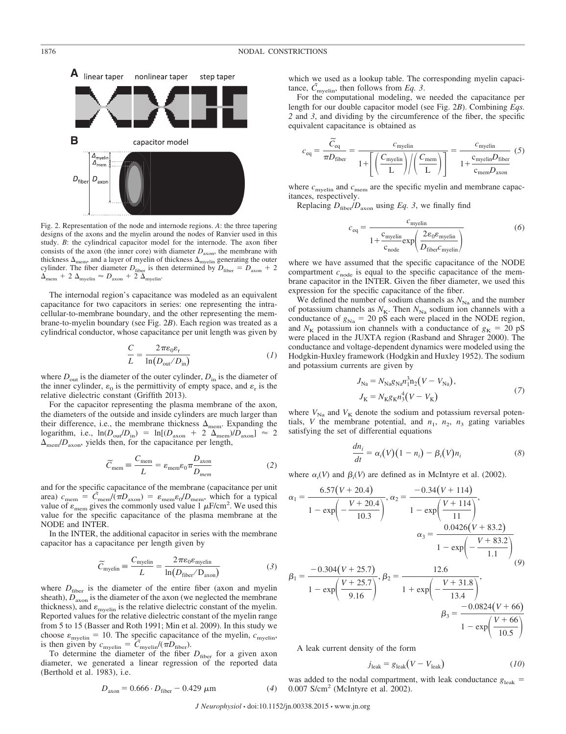

Fig. 2. Representation of the node and internode regions. *A*: the three tapering designs of the axons and the myelin around the nodes of Ranvier used in this study. *B*: the cylindrical capacitor model for the internode. The axon fiber consists of the axon (the inner core) with diameter  $D_{\text{axon}}$ , the membrane with thickness  $\Delta_{\text{mem}}$ , and a layer of myelin of thickness  $\Delta_{\text{myelin}}$  generating the outer cylinder. The fiber diameter  $D_{\text{fiber}}$  is then determined by  $D_{\text{fiber}} = D_{\text{axon}} + 2$  $\Delta_{\text{mem}} \, + \, 2 \, \, \Delta_{\text{myelin}} \, \approx \, D_{\text{axon}} \, + \, 2 \, \, \Delta_{\text{myelin}}.$ 

The internodal region's capacitance was modeled as an equivalent capacitance for two capacitors in series: one representing the intracellular-to-membrane boundary, and the other representing the membrane-to-myelin boundary (see Fig. 2*B*). Each region was treated as a cylindrical conductor, whose capacitance per unit length was given by

$$
\frac{C}{L} = \frac{2\pi\epsilon_0\epsilon_r}{\ln(D_{\text{out}}/D_{\text{in}})}
$$
 (1)

where  $D_{\text{out}}$  is the diameter of the outer cylinder,  $D_{\text{in}}$  is the diameter of the inner cylinder,  $\varepsilon_0$  is the permittivity of empty space, and  $\varepsilon_r$  is the relative dielectric constant (Griffith 2013).

For the capacitor representing the plasma membrane of the axon, the diameters of the outside and inside cylinders are much larger than their difference, i.e., the membrane thickness  $\Delta_{\text{mem}}$ . Expanding the logarithm, i.e.,  $\ln(D_{\text{out}}/D_{\text{in}}) = \ln[(D_{\text{axon}} + 2 \Delta_{\text{mem}})/D_{\text{axon}}] \approx 2$  $\Delta_{\text{mem}}/D_{\text{axon}}$ , yields then, for the capacitance per length,

$$
\widetilde{C}_{\text{mem}} \equiv \frac{C_{\text{mem}}}{L} = \varepsilon_{\text{mem}} \varepsilon_0 \pi \frac{D_{\text{axon}}}{D_{\text{mem}}} \tag{2}
$$

and for the specific capacitance of the membrane (capacitance per unit area)  $c_{\text{mem}} = \tilde{C}_{\text{mem}}/(\pi D_{\text{axon}}) = \varepsilon_{\text{mem}} \varepsilon_0 / D_{\text{mem}}$ , which for a typical value of  $\varepsilon_{\text{mem}}$  gives the commonly used value 1  $\mu$ F/cm<sup>2</sup>. We used this value for the specific capacitance of the plasma membrane at the NODE and INTER.

In the INTER, the additional capacitor in series with the membrane capacitor has a capacitance per length given by

$$
\widetilde{C}_{\text{myelin}} \equiv \frac{C_{\text{myelin}}}{L} = \frac{2\pi\epsilon_0 \epsilon_{\text{myelin}}}{\ln(D_{\text{fiber}}/D_{\text{axon}})}
$$
(3)

where  $D_{\text{fiber}}$  is the diameter of the entire fiber (axon and myelin sheath),  $D_{\text{axon}}$  is the diameter of the axon (we neglected the membrane thickness), and  $\varepsilon_{\text{myelin}}$  is the relative dielectric constant of the myelin. Reported values for the relative dielectric constant of the myelin range from 5 to 15 (Basser and Roth 1991; Min et al. 2009). In this study we choose  $\varepsilon_{\text{myelin}} = 10$ . The specific capacitance of the myelin,  $c_{\text{myelin}}$ , is then given by  $c_{\text{myelin}} = \tilde{C}_{\text{myelin}}/(\pi D_{\text{fiber}})$ .

To determine the diameter of the fiber  $D_{\text{fiber}}$  for a given axon diameter, we generated a linear regression of the reported data (Berthold et al. 1983), i.e.

$$
D_{\text{axon}} = 0.666 \cdot D_{\text{fiber}} - 0.429 \ \mu \text{m} \tag{4}
$$

which we used as a lookup table. The corresponding myelin capacitance,  $\tilde{C}_{\text{myelin}}$ , then follows from *Eq.* 3.

For the computational modeling, we needed the capacitance per length for our double capacitor model (see Fig. 2*B*). Combining *Eqs. 2* and *3*, and dividing by the circumference of the fiber, the specific equivalent capacitance is obtained as

$$
c_{\text{eq}} = \frac{\widetilde{C}_{\text{eq}}}{\pi D_{\text{fiber}}} = \frac{c_{\text{myelin}}}{1 + \left[ \left( \frac{C_{\text{myelin}}}{L} \right) / \left( \frac{C_{\text{mem}}}{L} \right) \right]} = \frac{c_{\text{myelin}}}{1 + \frac{c_{\text{myelin}} D_{\text{fiber}}}{c_{\text{mem}} D_{\text{axon}}}}
$$
(5)

where  $c_{\text{myelin}}$  and  $c_{\text{mem}}$  are the specific myelin and membrane capacitances, respectively.

Replacing  $D_{\text{fiber}}/D_{\text{axon}}$  using *Eq. 3*, we finally find

$$
c_{\text{eq}} = \frac{c_{\text{myelin}}}{1 + \frac{c_{\text{myelin}}}{c_{\text{node}}} \exp\left(\frac{2\varepsilon_0 \varepsilon_{\text{myelin}}}{D_{\text{fiber}}c_{\text{myelin}}}\right)} \tag{6}
$$

where we have assumed that the specific capacitance of the NODE compartment  $c_{\text{node}}$  is equal to the specific capacitance of the membrane capacitor in the INTER. Given the fiber diameter, we used this expression for the specific capacitance of the fiber.

We defined the number of sodium channels as  $N_{\text{Na}}$  and the number of potassium channels as  $N_K$ . Then  $N_{\text{Na}}$  sodium ion channels with a conductance of  $g_{\text{Na}} = 20 \text{ pS}$  each were placed in the NODE region, and  $N_K$  potassium ion channels with a conductance of  $g_K = 20 \text{ pS}$ were placed in the JUXTA region (Rasband and Shrager 2000). The conductance and voltage-dependent dynamics were modeled using the Hodgkin-Huxley framework (Hodgkin and Huxley 1952). The sodium and potassium currents are given by

$$
J_{\text{Na}} = N_{\text{Na}} g_{\text{Na}} n_1^3 \text{n}_2 (V - V_{\text{Na}}),
$$
  
\n
$$
J_K = N_{\text{K}} g_{\text{K}} n_3^4 (V - V_{\text{K}})
$$
\n(7)

where  $V_{\text{Na}}$  and  $V_{\text{K}}$  denote the sodium and potassium reversal potentials, *V* the membrane potential, and  $n_1$ ,  $n_2$ ,  $n_3$  gating variables satisfying the set of differential equations

$$
\frac{dn_i}{dt} = \alpha_i(V)(1 - n_i) - \beta_i(V)n_i
$$
\n(8)

where  $\alpha_i(V)$  and  $\beta_i(V)$  are defined as in McIntyre et al. (2002).

$$
\alpha_1 = \frac{6.57(V + 20.4)}{1 - \exp\left(-\frac{V + 20.4}{10.3}\right)}, \alpha_2 = \frac{-0.34(V + 114)}{1 - \exp\left(\frac{V + 114}{11}\right)},
$$
  

$$
\alpha_3 = \frac{0.0426(V + 83.2)}{1 - \exp\left(-\frac{V + 83.2}{1.1}\right)}
$$
  

$$
\beta_1 = \frac{-0.304(V + 25.7)}{1 - \exp\left(\frac{V + 25.7}{9.16}\right)}, \beta_2 = \frac{12.6}{1 + \exp\left(-\frac{V + 31.8}{13.4}\right)},
$$
  

$$
\beta_3 = \frac{-0.0824(V + 66)}{1 - \exp\left(\frac{V + 66}{10.5}\right)}
$$

A leak current density of the form

$$
j_{\text{leak}} = g_{\text{leak}} \left( V - V_{\text{leak}} \right) \tag{10}
$$

was added to the nodal compartment, with leak conductance  $g_{\text{leak}} =$ 0.007 S/cm2 (McIntyre et al. 2002).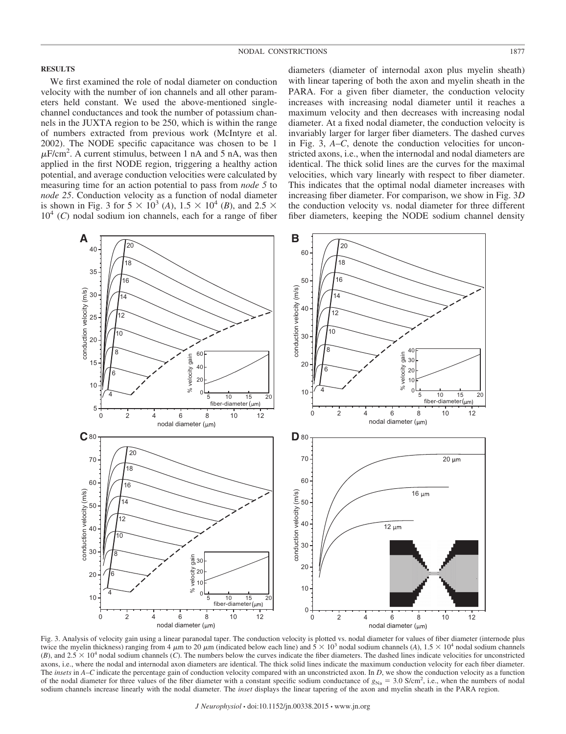## **RESULTS**

We first examined the role of nodal diameter on conduction velocity with the number of ion channels and all other parameters held constant. We used the above-mentioned singlechannel conductances and took the number of potassium channels in the JUXTA region to be 250, which is within the range of numbers extracted from previous work (McIntyre et al. 2002). The NODE specific capacitance was chosen to be 1  $\mu$ F/cm<sup>2</sup>. A current stimulus, between 1 nA and 5 nA, was then applied in the first NODE region, triggering a healthy action potential, and average conduction velocities were calculated by measuring time for an action potential to pass from *node 5* to *node 25*. Conduction velocity as a function of nodal diameter is shown in Fig. 3 for  $5 \times 10^3$  (*A*),  $1.5 \times 10^4$  (*B*), and 2.5  $\times$  $10<sup>4</sup>$  (*C*) nodal sodium ion channels, each for a range of fiber

diameters (diameter of internodal axon plus myelin sheath) with linear tapering of both the axon and myelin sheath in the PARA. For a given fiber diameter, the conduction velocity increases with increasing nodal diameter until it reaches a maximum velocity and then decreases with increasing nodal diameter. At a fixed nodal diameter, the conduction velocity is invariably larger for larger fiber diameters. The dashed curves in Fig. 3, *A*–*C*, denote the conduction velocities for unconstricted axons, i.e., when the internodal and nodal diameters are identical. The thick solid lines are the curves for the maximal velocities, which vary linearly with respect to fiber diameter. This indicates that the optimal nodal diameter increases with increasing fiber diameter. For comparison, we show in Fig. 3*D* the conduction velocity vs. nodal diameter for three different fiber diameters, keeping the NODE sodium channel density



Fig. 3. Analysis of velocity gain using a linear paranodal taper. The conduction velocity is plotted vs. nodal diameter for values of fiber diameter (internode plus twice the myelin thickness) ranging from 4  $\mu$ m to 20  $\mu$ m (indicated below each line) and  $5 \times 10^3$  nodal sodium channels (*A*),  $1.5 \times 10^4$  nodal sodium channels  $(B)$ , and  $2.5 \times 10^4$  nodal sodium channels (*C*). The numbers below the curves indicate the fiber diameters. The dashed lines indicate velocities for unconstricted axons, i.e., where the nodal and internodal axon diameters are identical. The thick solid lines indicate the maximum conduction velocity for each fiber diameter. The *insets* in *A*–*C* indicate the percentage gain of conduction velocity compared with an unconstricted axon. In *D*, we show the conduction velocity as a function of the nodal diameter for three values of the fiber diameter with a constant specific sodium conductance of  $g_{\text{Na}} = 3.0$  S/cm<sup>2</sup>, i.e., when the numbers of nodal sodium channels increase linearly with the nodal diameter. The *inset* displays the linear tapering of the axon and myelin sheath in the PARA region.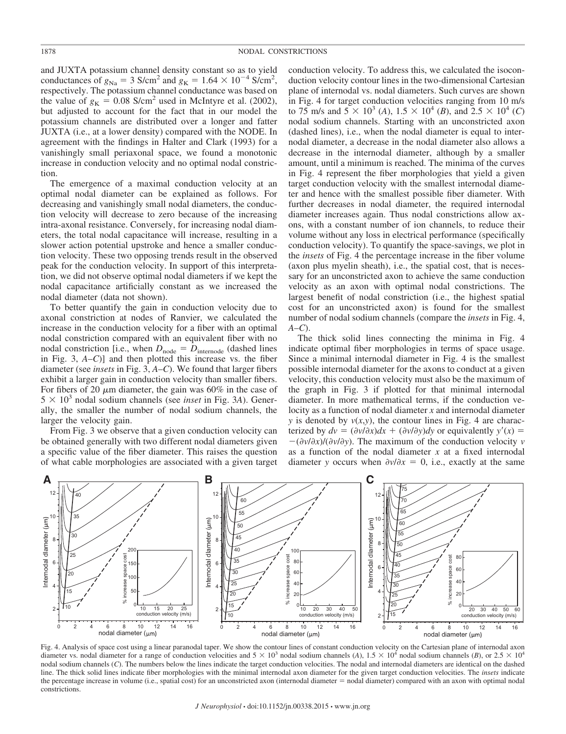and JUXTA potassium channel density constant so as to yield conductances of  $g_{\text{Na}} = 3$  S/cm<sup>2</sup> and  $g_K = 1.64 \times 10^{-4}$  S/cm<sup>2</sup>, respectively. The potassium channel conductance was based on the value of  $g_K = 0.08$  S/cm<sup>2</sup> used in McIntyre et al. (2002), but adjusted to account for the fact that in our model the potassium channels are distributed over a longer and fatter JUXTA (i.e., at a lower density) compared with the NODE. In agreement with the findings in Halter and Clark (1993) for a vanishingly small periaxonal space, we found a monotonic increase in conduction velocity and no optimal nodal constriction.

The emergence of a maximal conduction velocity at an optimal nodal diameter can be explained as follows. For decreasing and vanishingly small nodal diameters, the conduction velocity will decrease to zero because of the increasing intra-axonal resistance. Conversely, for increasing nodal diameters, the total nodal capacitance will increase, resulting in a slower action potential upstroke and hence a smaller conduction velocity. These two opposing trends result in the observed peak for the conduction velocity. In support of this interpretation, we did not observe optimal nodal diameters if we kept the nodal capacitance artificially constant as we increased the nodal diameter (data not shown).

To better quantify the gain in conduction velocity due to axonal constriction at nodes of Ranvier, we calculated the increase in the conduction velocity for a fiber with an optimal nodal constriction compared with an equivalent fiber with no nodal constriction [i.e., when  $D_{\text{node}} = D_{\text{internode}}$  (dashed lines in Fig. 3, *A*–*C*)] and then plotted this increase vs. the fiber diameter (see *insets* in Fig. 3, *A*–*C*). We found that larger fibers exhibit a larger gain in conduction velocity than smaller fibers. For fibers of 20  $\mu$ m diameter, the gain was 60% in the case of  $5 \times 10^3$  nodal sodium channels (see *inset* in Fig. 3A). Generally, the smaller the number of nodal sodium channels, the larger the velocity gain.

From Fig. 3 we observe that a given conduction velocity can be obtained generally with two different nodal diameters given a specific value of the fiber diameter. This raises the question of what cable morphologies are associated with a given target

conduction velocity. To address this, we calculated the isoconduction velocity contour lines in the two-dimensional Cartesian plane of internodal vs. nodal diameters. Such curves are shown in Fig. 4 for target conduction velocities ranging from 10 m/s to 75 m/s and  $5 \times 10^3$  (*A*),  $1.5 \times 10^4$  (*B*), and  $2.5 \times 10^4$  (*C*) nodal sodium channels. Starting with an unconstricted axon (dashed lines), i.e., when the nodal diameter is equal to internodal diameter, a decrease in the nodal diameter also allows a decrease in the internodal diameter, although by a smaller amount, until a minimum is reached. The minima of the curves in Fig. 4 represent the fiber morphologies that yield a given target conduction velocity with the smallest internodal diameter and hence with the smallest possible fiber diameter. With further decreases in nodal diameter, the required internodal diameter increases again. Thus nodal constrictions allow axons, with a constant number of ion channels, to reduce their volume without any loss in electrical performance (specifically conduction velocity). To quantify the space-savings, we plot in the *insets* of Fig. 4 the percentage increase in the fiber volume (axon plus myelin sheath), i.e., the spatial cost, that is necessary for an unconstricted axon to achieve the same conduction velocity as an axon with optimal nodal constrictions. The largest benefit of nodal constriction (i.e., the highest spatial cost for an unconstricted axon) is found for the smallest number of nodal sodium channels (compare the *insets* in Fig. 4, *A*–*C*).

The thick solid lines connecting the minima in Fig. 4 indicate optimal fiber morphologies in terms of space usage. Since a minimal internodal diameter in Fig. 4 is the smallest possible internodal diameter for the axons to conduct at a given velocity, this conduction velocity must also be the maximum of the graph in Fig. 3 if plotted for that minimal internodal diameter. In more mathematical terms, if the conduction velocity as a function of nodal diameter *x* and internodal diameter *y* is denoted by  $v(x, y)$ , the contour lines in Fig. 4 are characterized by  $dv = (\partial v/\partial x)dx + (\partial v/\partial y)dy$  or equivalently  $y'(x) =$  $-(\partial v/\partial x)/(\partial v/\partial y)$ . The maximum of the conduction velocity *v* as a function of the nodal diameter *x* at a fixed internodal diameter *y* occurs when  $\partial v/\partial x = 0$ , i.e., exactly at the same



Fig. 4. Analysis of space cost using a linear paranodal taper. We show the contour lines of constant conduction velocity on the Cartesian plane of internodal axon diameter vs. nodal diameter for a range of conduction velocities and  $5 \times 10^3$  nodal sodium channels (*A*),  $1.5 \times 10^4$  nodal sodium channels (*B*), or  $2.5 \times 10^4$ nodal sodium channels (*C*). The numbers below the lines indicate the target conduction velocities. The nodal and internodal diameters are identical on the dashed line. The thick solid lines indicate fiber morphologies with the minimal internodal axon diameter for the given target conduction velocities. The *insets* indicate the percentage increase in volume (i.e., spatial cost) for an unconstricted axon (internodal diameter = nodal diameter) compared with an axon with optimal nodal constrictions.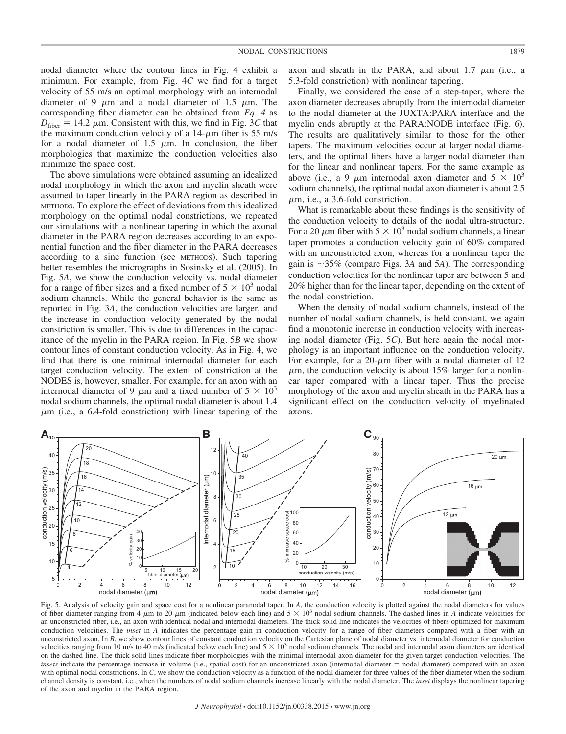nodal diameter where the contour lines in Fig. 4 exhibit a minimum. For example, from Fig. 4*C* we find for a target velocity of 55 m/s an optimal morphology with an internodal diameter of 9  $\mu$ m and a nodal diameter of 1.5  $\mu$ m. The corresponding fiber diameter can be obtained from *Eq. 4* as  $D_{\text{fiber}} = 14.2 \mu \text{m}$ . Consistent with this, we find in Fig. 3*C* that the maximum conduction velocity of a  $14-\mu m$  fiber is 55 m/s for a nodal diameter of 1.5  $\mu$ m. In conclusion, the fiber morphologies that maximize the conduction velocities also minimize the space cost.

The above simulations were obtained assuming an idealized nodal morphology in which the axon and myelin sheath were assumed to taper linearly in the PARA region as described in METHODS. To explore the effect of deviations from this idealized morphology on the optimal nodal constrictions, we repeated our simulations with a nonlinear tapering in which the axonal diameter in the PARA region decreases according to an exponential function and the fiber diameter in the PARA decreases according to a sine function (see METHODS). Such tapering better resembles the micrographs in Sosinsky et al. (2005). In Fig. 5*A*, we show the conduction velocity vs. nodal diameter for a range of fiber sizes and a fixed number of  $5 \times 10^3$  nodal sodium channels. While the general behavior is the same as reported in Fig. 3*A*, the conduction velocities are larger, and the increase in conduction velocity generated by the nodal constriction is smaller. This is due to differences in the capacitance of the myelin in the PARA region. In Fig. 5*B* we show contour lines of constant conduction velocity. As in Fig. 4, we find that there is one minimal internodal diameter for each target conduction velocity. The extent of constriction at the NODES is, however, smaller. For example, for an axon with an internodal diameter of 9  $\mu$ m and a fixed number of 5  $\times$  10<sup>3</sup> nodal sodium channels, the optimal nodal diameter is about 1.4  $\mu$ m (i.e., a 6.4-fold constriction) with linear tapering of the

axon and sheath in the PARA, and about  $1.7 \mu m$  (i.e., a 5.3-fold constriction) with nonlinear tapering.

Finally, we considered the case of a step-taper, where the axon diameter decreases abruptly from the internodal diameter to the nodal diameter at the JUXTA:PARA interface and the myelin ends abruptly at the PARA:NODE interface (Fig. 6). The results are qualitatively similar to those for the other tapers. The maximum velocities occur at larger nodal diameters, and the optimal fibers have a larger nodal diameter than for the linear and nonlinear tapers. For the same example as above (i.e., a 9  $\mu$ m internodal axon diameter and 5  $\times$  10<sup>3</sup> sodium channels), the optimal nodal axon diameter is about 2.5  $\mu$ m, i.e., a 3.6-fold constriction.

What is remarkable about these findings is the sensitivity of the conduction velocity to details of the nodal ultra-structure. For a 20  $\mu$ m fiber with  $5 \times 10^3$  nodal sodium channels, a linear taper promotes a conduction velocity gain of 60% compared with an unconstricted axon, whereas for a nonlinear taper the gain is  $\sim$ 35% (compare Figs. 3*A* and 5*A*). The corresponding conduction velocities for the nonlinear taper are between 5 and 20% higher than for the linear taper, depending on the extent of the nodal constriction.

When the density of nodal sodium channels, instead of the number of nodal sodium channels, is held constant, we again find a monotonic increase in conduction velocity with increasing nodal diameter (Fig. 5*C*). But here again the nodal morphology is an important influence on the conduction velocity. For example, for a  $20$ - $\mu$ m fiber with a nodal diameter of 12  $\mu$ m, the conduction velocity is about 15% larger for a nonlinear taper compared with a linear taper. Thus the precise morphology of the axon and myelin sheath in the PARA has a significant effect on the conduction velocity of myelinated axons.



Fig. 5. Analysis of velocity gain and space cost for a nonlinear paranodal taper. In *A*, the conduction velocity is plotted against the nodal diameters for values of fiber diameter ranging from 4  $\mu$ m to 20  $\mu$ m (indicated below each line) and  $5 \times 10^3$  nodal sodium channels. The dashed lines in *A* indicate velocities for an unconstricted fiber, i.e., an axon with identical nodal and internodal diameters. The thick solid line indicates the velocities of fibers optimized for maximum conduction velocities. The *inset* in *A* indicates the percentage gain in conduction velocity for a range of fiber diameters compared with a fiber with an unconstricted axon. In *B*, we show contour lines of constant conduction velocity on the Cartesian plane of nodal diameter vs. internodal diameter for conduction velocities ranging from 10 m/s to 40 m/s (indicated below each line) and  $5 \times 10^3$  nodal sodium channels. The nodal and internodal axon diameters are identical on the dashed line. The thick solid lines indicate fiber morphologies with the minimal internodal axon diameter for the given target conduction velocities. The *insets* indicate the percentage increase in volume (i.e., spatial cost) for an unconstricted axon (internodal diameter = nodal diameter) compared with an axon with optimal nodal constrictions. In *C*, we show the conduction velocity as a function of the nodal diameter for three values of the fiber diameter when the sodium channel density is constant, i.e., when the numbers of nodal sodium channels increase linearly with the nodal diameter. The *inset* displays the nonlinear tapering of the axon and myelin in the PARA region.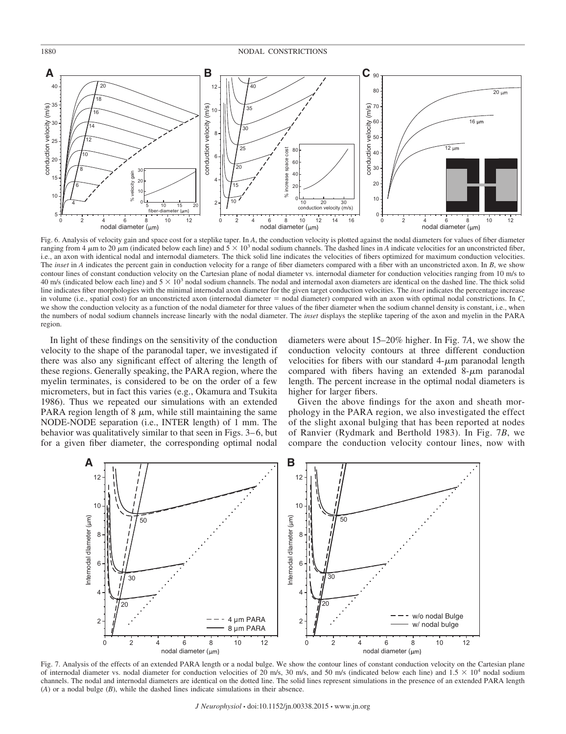

Fig. 6. Analysis of velocity gain and space cost for a steplike taper. In A, the conduction velocity is plotted against the nodal diameters for values of fiber diameter ranging from 4  $\mu$ m to 20  $\mu$ m (indicated below each line) and  $5 \times 10^3$  nodal sodium channels. The dashed lines in *A* indicate velocities for an unconstricted fiber, i.e., an axon with identical nodal and internodal diameters. The thick solid line indicates the velocities of fibers optimized for maximum conduction velocities. The *inset* in *A* indicates the percent gain in conduction velocity for a range of fiber diameters compared with a fiber with an unconstricted axon. In *B*, we show contour lines of constant conduction velocity on the Cartesian plane of nodal diameter vs. internodal diameter for conduction velocities ranging from 10 m/s to 40 m/s (indicated below each line) and  $5 \times 10^3$  nodal sodium channels. The nodal and internodal axon diameters are identical on the dashed line. The thick solid line indicates fiber morphologies with the minimal internodal axon diameter for the given target conduction velocities. The *inset* indicates the percentage increase in volume (i.e., spatial cost) for an unconstricted axon (internodal diameter = nodal diameter) compared with an axon with optimal nodal constrictions. In *C*, we show the conduction velocity as a function of the nodal diameter for three values of the fiber diameter when the sodium channel density is constant, i.e., when the numbers of nodal sodium channels increase linearly with the nodal diameter. The *inset* displays the steplike tapering of the axon and myelin in the PARA region.

In light of these findings on the sensitivity of the conduction velocity to the shape of the paranodal taper, we investigated if there was also any significant effect of altering the length of these regions. Generally speaking, the PARA region, where the myelin terminates, is considered to be on the order of a few micrometers, but in fact this varies (e.g., Okamura and Tsukita 1986). Thus we repeated our simulations with an extended PARA region length of  $8 \mu m$ , while still maintaining the same NODE-NODE separation (i.e., INTER length) of 1 mm. The behavior was qualitatively similar to that seen in Figs. 3–6, but for a given fiber diameter, the corresponding optimal nodal

diameters were about 15–20% higher. In Fig. 7*A*, we show the conduction velocity contours at three different conduction velocities for fibers with our standard  $4-\mu m$  paranodal length compared with fibers having an extended  $8-\mu m$  paranodal length. The percent increase in the optimal nodal diameters is higher for larger fibers.

Given the above findings for the axon and sheath morphology in the PARA region, we also investigated the effect of the slight axonal bulging that has been reported at nodes of Ranvier (Rydmark and Berthold 1983). In Fig. 7*B*, we compare the conduction velocity contour lines, now with



Fig. 7. Analysis of the effects of an extended PARA length or a nodal bulge. We show the contour lines of constant conduction velocity on the Cartesian plane of internodal diameter vs. nodal diameter for conduction velocities of 20 m/s, 30 m/s, and 50 m/s (indicated below each line) and  $1.5 \times 10^4$  nodal sodium channels. The nodal and internodal diameters are identical on the dotted line. The solid lines represent simulations in the presence of an extended PARA length (*A*) or a nodal bulge (*B*), while the dashed lines indicate simulations in their absence.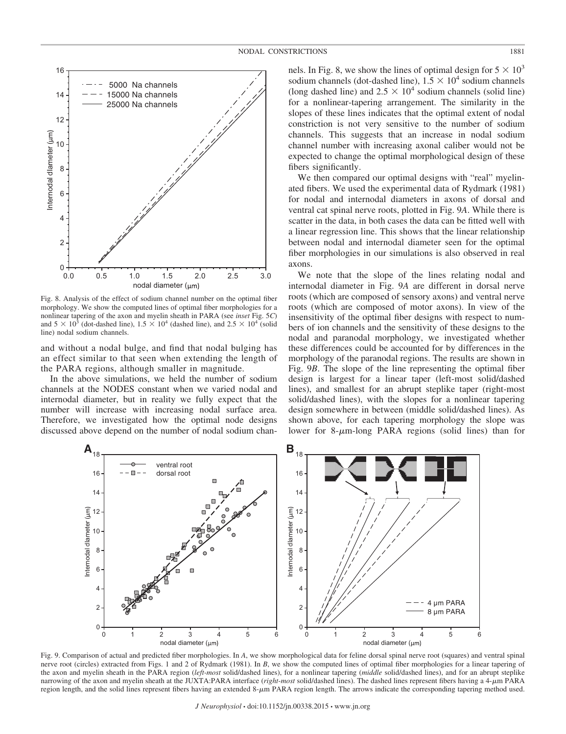

Fig. 8. Analysis of the effect of sodium channel number on the optimal fiber morphology. We show the computed lines of optimal fiber morphologies for a nonlinear tapering of the axon and myelin sheath in PARA (see *inset* Fig. 5*C*) and  $5 \times 10^3$  (dot-dashed line),  $1.5 \times 10^4$  (dashed line), and  $2.5 \times 10^4$  (solid line) nodal sodium channels.

and without a nodal bulge, and find that nodal bulging has an effect similar to that seen when extending the length of the PARA regions, although smaller in magnitude.

In the above simulations, we held the number of sodium channels at the NODES constant when we varied nodal and internodal diameter, but in reality we fully expect that the number will increase with increasing nodal surface area. Therefore, we investigated how the optimal node designs discussed above depend on the number of nodal sodium channels. In Fig. 8, we show the lines of optimal design for  $5 \times 10^3$ sodium channels (dot-dashed line),  $1.5 \times 10^4$  sodium channels (long dashed line) and  $2.5 \times 10^4$  sodium channels (solid line) for a nonlinear-tapering arrangement. The similarity in the slopes of these lines indicates that the optimal extent of nodal constriction is not very sensitive to the number of sodium channels. This suggests that an increase in nodal sodium channel number with increasing axonal caliber would not be expected to change the optimal morphological design of these fibers significantly.

We then compared our optimal designs with "real" myelinated fibers. We used the experimental data of Rydmark (1981) for nodal and internodal diameters in axons of dorsal and ventral cat spinal nerve roots, plotted in Fig. 9*A*. While there is scatter in the data, in both cases the data can be fitted well with a linear regression line. This shows that the linear relationship between nodal and internodal diameter seen for the optimal fiber morphologies in our simulations is also observed in real axons.

We note that the slope of the lines relating nodal and internodal diameter in Fig. 9*A* are different in dorsal nerve roots (which are composed of sensory axons) and ventral nerve roots (which are composed of motor axons). In view of the insensitivity of the optimal fiber designs with respect to numbers of ion channels and the sensitivity of these designs to the nodal and paranodal morphology, we investigated whether these differences could be accounted for by differences in the morphology of the paranodal regions. The results are shown in Fig. 9*B*. The slope of the line representing the optimal fiber design is largest for a linear taper (left-most solid/dashed lines), and smallest for an abrupt steplike taper (right-most solid/dashed lines), with the slopes for a nonlinear tapering design somewhere in between (middle solid/dashed lines). As shown above, for each tapering morphology the slope was lower for  $8-\mu$ m-long PARA regions (solid lines) than for



Fig. 9. Comparison of actual and predicted fiber morphologies. In A, we show morphological data for feline dorsal spinal nerve root (squares) and ventral spinal nerve root (circles) extracted from Figs. 1 and 2 of Rydmark (1981). In *B*, we show the computed lines of optimal fiber morphologies for a linear tapering of the axon and myelin sheath in the PARA region (*left-most* solid/dashed lines), for a nonlinear tapering (*middle* solid/dashed lines), and for an abrupt steplike narrowing of the axon and myelin sheath at the JUXTA:PARA interface (*right-most* solid/dashed lines). The dashed lines represent fibers having a 4- $\mu$ m PARA region length, and the solid lines represent fibers having an extended 8- $\mu$ m PARA region length. The arrows indicate the corresponding tapering method used.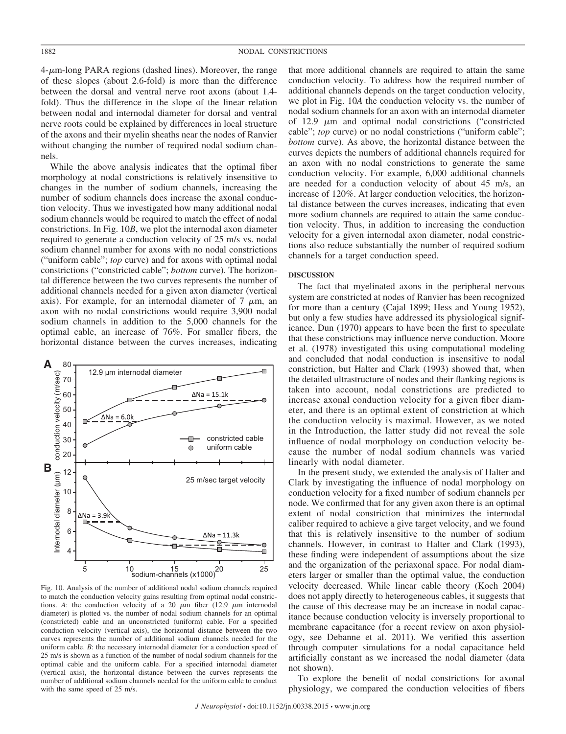4- $\mu$ m-long PARA regions (dashed lines). Moreover, the range of these slopes (about 2.6-fold) is more than the difference between the dorsal and ventral nerve root axons (about 1.4 fold). Thus the difference in the slope of the linear relation between nodal and internodal diameter for dorsal and ventral nerve roots could be explained by differences in local structure of the axons and their myelin sheaths near the nodes of Ranvier without changing the number of required nodal sodium channels.

While the above analysis indicates that the optimal fiber morphology at nodal constrictions is relatively insensitive to changes in the number of sodium channels, increasing the number of sodium channels does increase the axonal conduction velocity. Thus we investigated how many additional nodal sodium channels would be required to match the effect of nodal constrictions. In Fig. 10*B*, we plot the internodal axon diameter required to generate a conduction velocity of 25 m/s vs. nodal sodium channel number for axons with no nodal constrictions ("uniform cable"; *top* curve) and for axons with optimal nodal constrictions ("constricted cable"; *bottom* curve). The horizontal difference between the two curves represents the number of additional channels needed for a given axon diameter (vertical axis). For example, for an internodal diameter of  $7 \mu m$ , an axon with no nodal constrictions would require 3,900 nodal sodium channels in addition to the 5,000 channels for the optimal cable, an increase of 76%. For smaller fibers, the horizontal distance between the curves increases, indicating



Fig. 10. Analysis of the number of additional nodal sodium channels required to match the conduction velocity gains resulting from optimal nodal constrictions. A: the conduction velocity of a 20  $\mu$ m fiber (12.9  $\mu$ m internodal diameter) is plotted vs. the number of nodal sodium channels for an optimal (constricted) cable and an unconstricted (uniform) cable. For a specified conduction velocity (vertical axis), the horizontal distance between the two curves represents the number of additional sodium channels needed for the uniform cable. *B*: the necessary internodal diameter for a conduction speed of 25 m/s is shown as a function of the number of nodal sodium channels for the optimal cable and the uniform cable. For a specified internodal diameter (vertical axis), the horizontal distance between the curves represents the number of additional sodium channels needed for the uniform cable to conduct with the same speed of 25 m/s.

that more additional channels are required to attain the same conduction velocity. To address how the required number of additional channels depends on the target conduction velocity, we plot in Fig. 10*A* the conduction velocity vs. the number of nodal sodium channels for an axon with an internodal diameter of 12.9  $\mu$ m and optimal nodal constrictions ("constricted cable"; *top* curve) or no nodal constrictions ("uniform cable"; *bottom* curve). As above, the horizontal distance between the curves depicts the numbers of additional channels required for an axon with no nodal constrictions to generate the same conduction velocity. For example, 6,000 additional channels are needed for a conduction velocity of about 45 m/s, an increase of 120%. At larger conduction velocities, the horizontal distance between the curves increases, indicating that even more sodium channels are required to attain the same conduction velocity. Thus, in addition to increasing the conduction velocity for a given internodal axon diameter, nodal constrictions also reduce substantially the number of required sodium channels for a target conduction speed.

## **DISCUSSION**

The fact that myelinated axons in the peripheral nervous system are constricted at nodes of Ranvier has been recognized for more than a century (Cajal 1899; Hess and Young 1952), but only a few studies have addressed its physiological significance. Dun (1970) appears to have been the first to speculate that these constrictions may influence nerve conduction. Moore et al. (1978) investigated this using computational modeling and concluded that nodal conduction is insensitive to nodal constriction, but Halter and Clark (1993) showed that, when the detailed ultrastructure of nodes and their flanking regions is taken into account, nodal constrictions are predicted to increase axonal conduction velocity for a given fiber diameter, and there is an optimal extent of constriction at which the conduction velocity is maximal. However, as we noted in the Introduction, the latter study did not reveal the sole influence of nodal morphology on conduction velocity because the number of nodal sodium channels was varied linearly with nodal diameter.

In the present study, we extended the analysis of Halter and Clark by investigating the influence of nodal morphology on conduction velocity for a fixed number of sodium channels per node. We confirmed that for any given axon there is an optimal extent of nodal constriction that minimizes the internodal caliber required to achieve a give target velocity, and we found that this is relatively insensitive to the number of sodium channels. However, in contrast to Halter and Clark (1993), these finding were independent of assumptions about the size and the organization of the periaxonal space. For nodal diameters larger or smaller than the optimal value, the conduction velocity decreased. While linear cable theory (Koch 2004) does not apply directly to heterogeneous cables, it suggests that the cause of this decrease may be an increase in nodal capacitance because conduction velocity is inversely proportional to membrane capacitance (for a recent review on axon physiology, see Debanne et al. 2011). We verified this assertion through computer simulations for a nodal capacitance held artificially constant as we increased the nodal diameter (data not shown).

To explore the benefit of nodal constrictions for axonal physiology, we compared the conduction velocities of fibers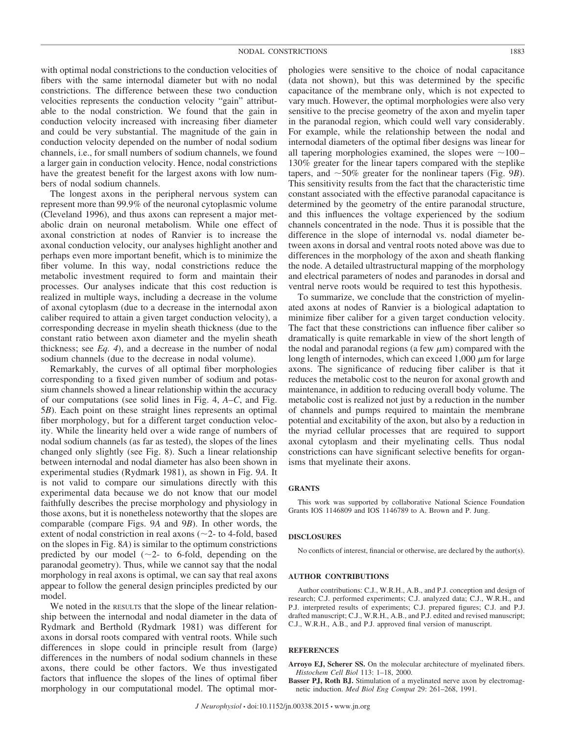with optimal nodal constrictions to the conduction velocities of fibers with the same internodal diameter but with no nodal constrictions. The difference between these two conduction velocities represents the conduction velocity "gain" attributable to the nodal constriction. We found that the gain in conduction velocity increased with increasing fiber diameter and could be very substantial. The magnitude of the gain in conduction velocity depended on the number of nodal sodium channels, i.e., for small numbers of sodium channels, we found a larger gain in conduction velocity. Hence, nodal constrictions have the greatest benefit for the largest axons with low numbers of nodal sodium channels.

The longest axons in the peripheral nervous system can represent more than 99.9% of the neuronal cytoplasmic volume (Cleveland 1996), and thus axons can represent a major metabolic drain on neuronal metabolism. While one effect of axonal constriction at nodes of Ranvier is to increase the axonal conduction velocity, our analyses highlight another and perhaps even more important benefit, which is to minimize the fiber volume. In this way, nodal constrictions reduce the metabolic investment required to form and maintain their processes. Our analyses indicate that this cost reduction is realized in multiple ways, including a decrease in the volume of axonal cytoplasm (due to a decrease in the internodal axon caliber required to attain a given target conduction velocity), a corresponding decrease in myelin sheath thickness (due to the constant ratio between axon diameter and the myelin sheath thickness; see *Eq. 4*), and a decrease in the number of nodal sodium channels (due to the decrease in nodal volume).

Remarkably, the curves of all optimal fiber morphologies corresponding to a fixed given number of sodium and potassium channels showed a linear relationship within the accuracy of our computations (see solid lines in Fig. 4, *A*–*C*, and Fig. 5*B*). Each point on these straight lines represents an optimal fiber morphology, but for a different target conduction velocity. While the linearity held over a wide range of numbers of nodal sodium channels (as far as tested), the slopes of the lines changed only slightly (see Fig. 8). Such a linear relationship between internodal and nodal diameter has also been shown in experimental studies (Rydmark 1981), as shown in Fig. 9*A*. It is not valid to compare our simulations directly with this experimental data because we do not know that our model faithfully describes the precise morphology and physiology in those axons, but it is nonetheless noteworthy that the slopes are comparable (compare Figs. 9*A* and 9*B*). In other words, the extent of nodal constriction in real axons ( $\sim$ 2- to 4-fold, based on the slopes in Fig. 8*A*) is similar to the optimum constrictions predicted by our model  $(\sim 2$ - to 6-fold, depending on the paranodal geometry). Thus, while we cannot say that the nodal morphology in real axons is optimal, we can say that real axons appear to follow the general design principles predicted by our model.

We noted in the RESULTS that the slope of the linear relationship between the internodal and nodal diameter in the data of Rydmark and Berthold (Rydmark 1981) was different for axons in dorsal roots compared with ventral roots. While such differences in slope could in principle result from (large) differences in the numbers of nodal sodium channels in these axons, there could be other factors. We thus investigated factors that influence the slopes of the lines of optimal fiber morphology in our computational model. The optimal mor-

phologies were sensitive to the choice of nodal capacitance (data not shown), but this was determined by the specific capacitance of the membrane only, which is not expected to vary much. However, the optimal morphologies were also very sensitive to the precise geometry of the axon and myelin taper in the paranodal region, which could well vary considerably. For example, while the relationship between the nodal and internodal diameters of the optimal fiber designs was linear for all tapering morphologies examined, the slopes were  $\sim$ 100 – 130% greater for the linear tapers compared with the steplike tapers, and  $\sim 50\%$  greater for the nonlinear tapers (Fig. 9*B*). This sensitivity results from the fact that the characteristic time constant associated with the effective paranodal capacitance is determined by the geometry of the entire paranodal structure, and this influences the voltage experienced by the sodium channels concentrated in the node. Thus it is possible that the difference in the slope of internodal vs. nodal diameter between axons in dorsal and ventral roots noted above was due to differences in the morphology of the axon and sheath flanking the node. A detailed ultrastructural mapping of the morphology and electrical parameters of nodes and paranodes in dorsal and ventral nerve roots would be required to test this hypothesis.

To summarize, we conclude that the constriction of myelinated axons at nodes of Ranvier is a biological adaptation to minimize fiber caliber for a given target conduction velocity. The fact that these constrictions can influence fiber caliber so dramatically is quite remarkable in view of the short length of the nodal and paranodal regions (a few  $\mu$ m) compared with the long length of internodes, which can exceed  $1,000 \mu m$  for large axons. The significance of reducing fiber caliber is that it reduces the metabolic cost to the neuron for axonal growth and maintenance, in addition to reducing overall body volume. The metabolic cost is realized not just by a reduction in the number of channels and pumps required to maintain the membrane potential and excitability of the axon, but also by a reduction in the myriad cellular processes that are required to support axonal cytoplasm and their myelinating cells. Thus nodal constrictions can have significant selective benefits for organisms that myelinate their axons.

#### **GRANTS**

This work was supported by collaborative National Science Foundation Grants IOS 1146809 and IOS 1146789 to A. Brown and P. Jung.

#### **DISCLOSURES**

No conflicts of interest, financial or otherwise, are declared by the author(s).

#### **AUTHOR CONTRIBUTIONS**

Author contributions: C.J., W.R.H., A.B., and P.J. conception and design of research; C.J. performed experiments; C.J. analyzed data; C.J., W.R.H., and P.J. interpreted results of experiments; C.J. prepared figures; C.J. and P.J. drafted manuscript; C.J., W.R.H., A.B., and P.J. edited and revised manuscript; C.J., W.R.H., A.B., and P.J. approved final version of manuscript.

#### **REFERENCES**

**Arroyo EJ, Scherer SS.** On the molecular architecture of myelinated fibers. *Histochem Cell Biol* 113: 1–18, 2000.

**Basser PJ, Roth BJ.** Stimulation of a myelinated nerve axon by electromagnetic induction. *Med Biol Eng Comput* 29: 261–268, 1991.